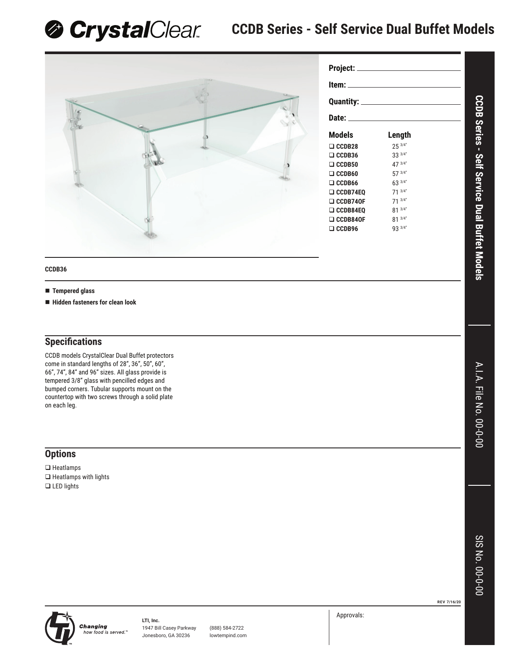**& Crystal**Clear **CCDB Series - Self Service Dual Buffet Models** 



| Project: ______________                                                                                                                                                                                                        |             |  |  |  |  |  |
|--------------------------------------------------------------------------------------------------------------------------------------------------------------------------------------------------------------------------------|-------------|--|--|--|--|--|
| ltem: when the state of the state of the state of the state of the state of the state of the state of the state                                                                                                                |             |  |  |  |  |  |
| Quantity: <u>__________________</u>                                                                                                                                                                                            |             |  |  |  |  |  |
| Date: the contract of the contract of the contract of the contract of the contract of the contract of the contract of the contract of the contract of the contract of the contract of the contract of the contract of the cont |             |  |  |  |  |  |
| Models                                                                                                                                                                                                                         | Length      |  |  |  |  |  |
| $\Box$ CCDB28                                                                                                                                                                                                                  | 253/4"      |  |  |  |  |  |
| $\Box$ CCDB36                                                                                                                                                                                                                  | 33 3/4"     |  |  |  |  |  |
| $\Box$ CCDB50                                                                                                                                                                                                                  | 47 3/4"     |  |  |  |  |  |
| $\Box$ CCDB60                                                                                                                                                                                                                  | 57 3/4"     |  |  |  |  |  |
| $\Box$ CCDB66                                                                                                                                                                                                                  | 63 3/4"     |  |  |  |  |  |
| $\Box$ CCDB74E0                                                                                                                                                                                                                | $71^{3/4"}$ |  |  |  |  |  |
| $\Box$ CCDB740F                                                                                                                                                                                                                | $71^{3/4"}$ |  |  |  |  |  |
| $\Box$ CCDB84EQ                                                                                                                                                                                                                | 81 3/4"     |  |  |  |  |  |
| $\Box$ CCDB840F                                                                                                                                                                                                                | 81 3/4"     |  |  |  |  |  |
| $\Box$ CCDB96                                                                                                                                                                                                                  | 93 3/4"     |  |  |  |  |  |
|                                                                                                                                                                                                                                |             |  |  |  |  |  |

## **CCDB36**

- **Tempered glass**
- **Hidden fasteners for clean look**

## **Specifi cations**

CCDB models CrystalClear Dual Buffet protectors come in standard lengths of 28", 36", 50", 60", 66", 74", 84" and 96" sizes. All glass provide is tempered 3/8" glass with pencilled edges and bumped corners. Tubular supports mount on the countertop with two screws through a solid plate on each leg.

## **Options**

□ Heatlamps  $\Box$  Heatlamps with lights **Q** LED lights

**REV 7/16/20**



**LTI, Inc. Changing** how food is served."

1947 Bill Casey Parkway (888) 584-2722 Jonesboro, GA 30236 lowtempind.com Approvals:

A.I.A. File No. 00-0-00 A.I.A. File No. 00-0-00

**CCDB Series - Self Service Dual Buffet Models**

**CCDB Series - Self Service Dual Buffet Models**